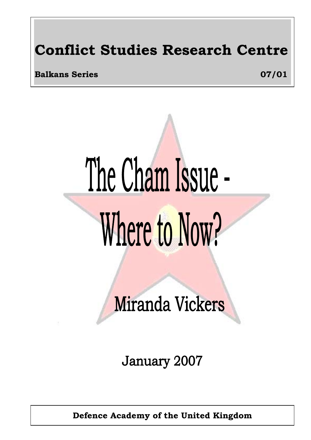# **Conflict Studies Research Centre**

**Balkans Series** 07/01

# The Cham Issue -Where to Now?

Miranda Vickers

**January 2007** 

**Defence Academy of the United Kingdom**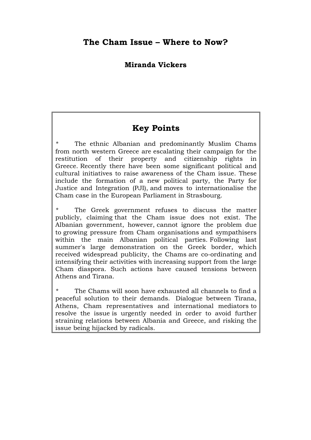## **Miranda Vickers**

## **Key Points**

The ethnic Albanian and predominantly Muslim Chams from north western Greece are escalating their campaign for the restitution of their property and citizenship rights in Greece. Recently there have been some significant political and cultural initiatives to raise awareness of the Cham issue. These include the formation of a new political party, the Party for Justice and Integration (PJI), and moves to internationalise the Cham case in the European Parliament in Strasbourg.

The Greek government refuses to discuss the matter publicly, claiming that the Cham issue does not exist. The Albanian government, however, cannot ignore the problem due to growing pressure from Cham organisations and sympathisers within the main Albanian political parties. Following last summer's large demonstration on the Greek border, which received widespread publicity, the Chams are co-ordinating and intensifying their activities with increasing support from the large Cham diaspora. Such actions have caused tensions between Athens and Tirana.

The Chams will soon have exhausted all channels to find a peaceful solution to their demands. Dialogue between Tirana, Athens, Cham representatives and international mediators to resolve the issue is urgently needed in order to avoid further straining relations between Albania and Greece, and risking the issue being hijacked by radicals.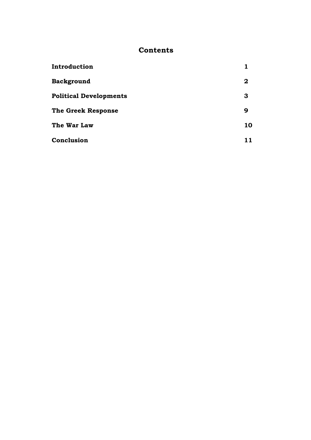## **Contents**

| Introduction                  |              |
|-------------------------------|--------------|
| <b>Background</b>             | $\mathbf{2}$ |
| <b>Political Developments</b> | 3            |
| <b>The Greek Response</b>     | 9            |
| The War Law                   | 10           |
| Conclusion                    | 11           |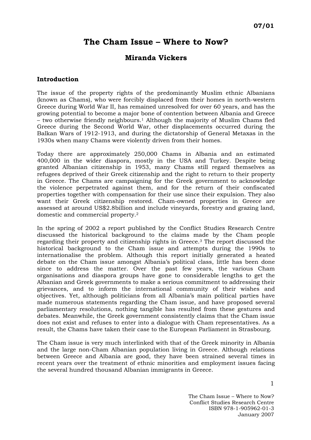## **The Cham Issue – Where to Now?**

## **Miranda Vickers**

### **Introduction**

The issue of the property rights of the predominantly Muslim ethnic Albanians (known as Chams), who were forcibly displaced from their homes in north-western Greece during World War II, has remained unresolved for over 60 years, and has the growing potential to become a major bone of contention between Albania and Greece – two otherwise friendly neighbours.[1](#page-15-0) Although the majority of Muslim Chams fled Greece during the Second World War, other displacements occurred during the Balkan Wars of 1912-1913, and during the dictatorship of General Metaxas in the 1930s when many Chams were violently driven from their homes.

Today there are approximately 250,000 Chams in Albania and an estimated 400,000 in the wider diaspora, mostly in the USA and Turkey. Despite being granted Albanian citizenship in 1953, many Chams still regard themselves as refugees deprived of their Greek citizenship and the right to return to their property in Greece. The Chams are campaigning for the Greek government to acknowledge the violence perpetrated against them, and for the return of their confiscated properties together with compensation for their use since their expulsion. They also want their Greek citizenship restored. Cham-owned properties in Greece are assessed at around US\$2.8billion and include vineyards, forestry and grazing land, domestic and commercial property.[2](#page-15-1) 

In the spring of 2002 a report published by the Conflict Studies Research Centre discussed the historical background to the claims made by the Cham people regarding their property and citizenship rights in Greece.[3](#page-15-2) The report discussed the historical background to the Cham issue and attempts during the 1990s to internationalise the problem. Although this report initially generated a heated debate on the Cham issue amongst Albania's political class, little has been done since to address the matter. Over the past few years, the various Cham organisations and diaspora groups have gone to considerable lengths to get the Albanian and Greek governments to make a serious commitment to addressing their grievances, and to inform the international community of their wishes and objectives. Yet, although politicians from all Albania's main political parties have made numerous statements regarding the Cham issue, and have proposed several parliamentary resolutions, nothing tangible has resulted from these gestures and debates. Meanwhile, the Greek government consistently claims that the Cham issue does not exist and refuses to enter into a dialogue with Cham representatives. As a result, the Chams have taken their case to the European Parliament in Strasbourg.

The Cham issue is very much interlinked with that of the Greek minority in Albania and the large non-Cham Albanian population living in Greece. Although relations between Greece and Albania are good, they have been strained several times in recent years over the treatment of ethnic minorities and employment issues facing the several hundred thousand Albanian immigrants in Greece.

> The Cham Issue – Where to Now? Conflict Studies Research Centre ISBN 978-1-905962-01-3 January 2007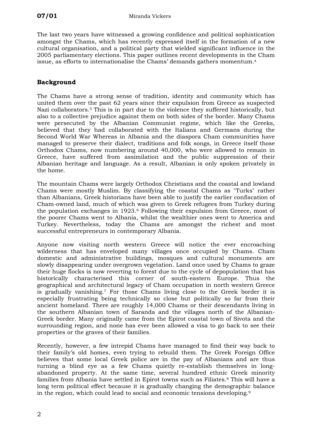The last two years have witnessed a growing confidence and political sophistication amongst the Chams, which has recently expressed itself in the formation of a new cultural organisation, and a political party that wielded significant influence in the 2005 parliamentary elections. This paper outlines recent developments in the Cham issue, as efforts to internationalise the Chams' demands gathers momentum.[4](#page-15-3) 

## **Background**

The Chams have a strong sense of tradition, identity and community which has united them over the past 62 years since their expulsion from Greece as suspected Nazi collaborators.[5](#page-15-4) This is in part due to the violence they suffered historically, but also to a collective prejudice against them on both sides of the border. Many Chams were persecuted by the Albanian Communist regime, which like the Greeks, believed that they had collaborated with the Italians and Germans during the Second World War Whereas in Albania and the diaspora Cham communities have managed to preserve their dialect, traditions and folk songs, in Greece itself those Orthodox Chams, now numbering around 40,000, who were allowed to remain in Greece, have suffered from assimilation and the public suppression of their Albanian heritage and language. As a result, Albanian is only spoken privately in the home.

The mountain Chams were largely Orthodox Christians and the coastal and lowland Chams were mostly Muslim. By classifying the coastal Chams as "Turks" rather than Albanians, Greek historians have been able to justify the earlier confiscation of Cham-owned land, much of which was given to Greek refugees from Turkey during the population exchanges in 1923.[6](#page-15-5) Following their expulsion from Greece, most of the poorer Chams went to Albania, whilst the wealthier ones went to America and Turkey. Nevertheless, today the Chams are amongst the richest and most successful entrepreneurs in contemporary Albania.

Anyone now visiting north western Greece will notice the ever encroaching wilderness that has enveloped many villages once occupied by Chams. Cham domestic and administrative buildings, mosques and cultural monuments are slowly disappearing under overgrown vegetation. Land once used by Chams to graze their huge flocks is now reverting to forest due to the cycle of depopulation that has historically characterised this corner of south-eastern Europe. Thus the geographical and architectural legacy of Cham occupation in north western Greece is gradually vanishing.[7](#page-15-6) For those Chams living close to the Greek border it is especially frustrating being technically so close but politically so far from their ancient homeland. There are roughly 14,000 Chams or their descendants living in the southern Albanian town of Saranda and the villages north of the Albanian-Greek border. Many originally came from the Epirot coastal town of Sivota and the surrounding region, and none has ever been allowed a visa to go back to see their properties or the graves of their families.

Recently, however, a few intrepid Chams have managed to find their way back to their family's old homes, even trying to rebuild them. The Greek Foreign Office believes that some local Greek police are in the pay of Albanians and are thus turning a blind eye as a few Chams quietly re-establish themselves in longabandoned property. At the same time, several hundred ethnic Greek minority families from Albania have settled in Epirot towns such as Filiates.[8](#page-15-7) This will have a long term political effect because it is gradually changing the demographic balance in the region, which could lead to social and economic tensions developing.[9](#page-15-8)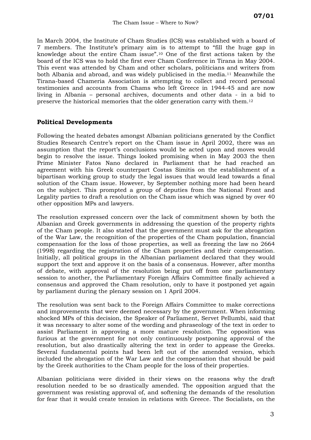In March 2004, the Institute of Cham Studies (ICS) was established with a board of 7 members. The Institute's primary aim is to attempt to "fill the huge gap in knowledge about the entire Cham issue".[10](#page-15-9) One of the first actions taken by the board of the ICS was to hold the first ever Cham Conference in Tirana in May 2004. This event was attended by Cham and other scholars, politicians and writers from both Albania and abroad, and was widely publicised in the media.[11](#page-15-10) Meanwhile the Tirana-based Chameria Association is attempting to collect and record personal testimonies and accounts from Chams who left Greece in 1944-45 and are now living in Albania – personal archives, documents and other data - in a bid to preserve the historical memories that the older generation carry with them.[12](#page-15-11) 

## **Political Developments**

Following the heated debates amongst Albanian politicians generated by the Conflict Studies Research Centre's report on the Cham issue in April 2002, there was an assumption that the report's conclusions would be acted upon and moves would begin to resolve the issue. Things looked promising when in May 2003 the then Prime Minister Fatos Nano declared in Parliament that he had reached an agreement with his Greek counterpart Costas Simitis on the establishment of a bipartisan working group to study the legal issues that would lead towards a final solution of the Cham issue. However, by September nothing more had been heard on the subject. This prompted a group of deputies from the National Front and Legality parties to draft a resolution on the Cham issue which was signed by over 40 other opposition MPs and lawyers.

The resolution expressed concern over the lack of commitment shown by both the Albanian and Greek governments in addressing the question of the property rights of the Cham people. It also stated that the government must ask for the abrogation of the War Law, the recognition of the properties of the Cham population, financial compensation for the loss of those properties, as well as freezing the law no 2664 (1998) regarding the registration of the Cham properties and their compensation. Initially, all political groups in the Albanian parliament declared that they would support the text and approve it on the basis of a consensus. However, after months of debate, with approval of the resolution being put off from one parliamentary session to another, the Parliamentary Foreign Affairs Committee finally achieved a consensus and approved the Cham resolution, only to have it postponed yet again by parliament during the plenary session on 1 April 2004.

The resolution was sent back to the Foreign Affairs Committee to make corrections and improvements that were deemed necessary by the government. When informing shocked MPs of this decision, the Speaker of Parliament, Servet Pellumbi, said that it was necessary to alter some of the wording and phraseology of the text in order to assist Parliament in approving a more mature resolution. The opposition was furious at the government for not only continuously postponing approval of the resolution, but also drastically altering the text in order to appease the Greeks. Several fundamental points had been left out of the amended version, which included the abrogation of the War Law and the compensation that should be paid by the Greek authorities to the Cham people for the loss of their properties.

Albanian politicians were divided in their views on the reasons why the draft resolution needed to be so drastically amended. The opposition argued that the government was resisting approval of, and softening the demands of the resolution for fear that it would create tension in relations with Greece. The Socialists, on the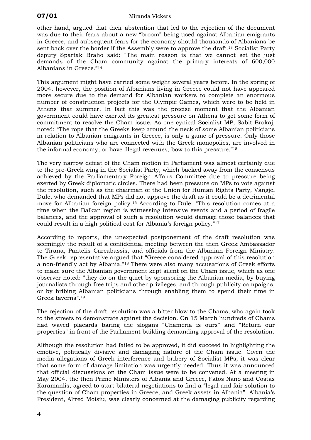other hand, argued that their abstention that led to the rejection of the document was due to their fears about a new "broom" being used against Albanian emigrants in Greece, and subsequent fears for the economy should thousands of Albanians be sent back over the border if the Assembly were to approve the draft.<sup>13</sup> Socialist Party deputy Spartak Braho said: "The main reason is that we cannot set the just demands of the Cham community against the primary interests of 600,000 Albanians in Greece."[14](#page-15-13) 

This argument might have carried some weight several years before. In the spring of 2004, however, the position of Albanians living in Greece could not have appeared more secure due to the demand for Albanian workers to complete an enormous number of construction projects for the Olympic Games, which were to be held in Athens that summer. In fact this was the precise moment that the Albanian government could have exerted its greatest pressure on Athens to get some form of commitment to resolve the Cham issue. As one cynical Socialist MP, Sabit Brokaj, noted: "The rope that the Greeks keep around the neck of some Albanian politicians in relation to Albanian emigrants in Greece, is only a game of pressure. Only those Albanian politicians who are connected with the Greek monopolies, are involved in the informal economy, or have illegal revenues, bow to this pressure."[15](#page-15-14) 

The very narrow defeat of the Cham motion in Parliament was almost certainly due to the pro-Greek wing in the Socialist Party, which backed away from the consensus achieved by the Parliamentary Foreign Affairs Committee due to pressure being exerted by Greek diplomatic circles. There had been pressure on MPs to vote against the resolution, such as the chairman of the Union for Human Rights Party, Vangjel Dule, who demanded that MPs did not approve the draft as it could be a detrimental move for Albanian foreign policy.[16](#page-15-15) According to Dule: "This resolution comes at a time when the Balkan region is witnessing intensive events and a period of fragile balances, and the approval of such a resolution would damage those balances that could result in a high political cost for Albania's foreign policy."[17](#page-15-16) 

According to reports, the unexpected postponement of the draft resolution was seemingly the result of a confidential meeting between the then Greek Ambassador to Tirana, Pantelis Carcabassis, and officials from the Albanian Foreign Ministry. The Greek representative argued that "Greece considered approval of this resolution a non-friendly act by Albania."[18](#page-15-17) There were also many accusations of Greek efforts to make sure the Albanian government kept silent on the Cham issue, which as one observer noted: "they do on the quiet by sponsoring the Albanian media, by buying journalists through free trips and other privileges, and through publicity campaigns, or by bribing Albanian politicians through enabling them to spend their time in Greek taverns".[19](#page-15-18) 

The rejection of the draft resolution was a bitter blow to the Chams, who again took to the streets to demonstrate against the decision. On 15 March hundreds of Chams had waved placards baring the slogans "Chameria is ours" and "Return our properties" in front of the Parliament building demanding approval of the resolution.

Although the resolution had failed to be approved, it did succeed in highlighting the emotive, politically divisive and damaging nature of the Cham issue. Given the media allegations of Greek interference and bribery of Socialist MPs, it was clear that some form of damage limitation was urgently needed. Thus it was announced that official discussions on the Cham issue were to be convened. At a meeting in May 2004, the then Prime Ministers of Albania and Greece, Fatos Nano and Costas Karamanlis, agreed to start bilateral negotiations to find a "legal and fair solution to the question of Cham properties in Greece, and Greek assets in Albania". Albania's President, Alfred Moisiu, was clearly concerned at the damaging publicity regarding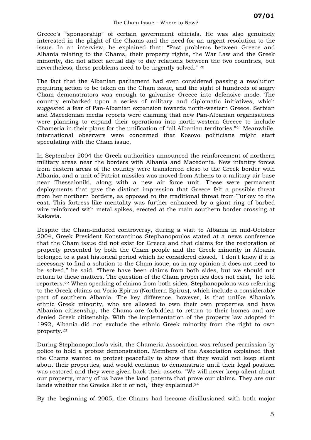Greece's "sponsorship" of certain government officials. He was also genuinely interested in the plight of the Chams and the need for an urgent resolution to the issue. In an interview, he explained that: "Past problems between Greece and Albania relating to the Chams, their property rights, the War Law and the Greek minority, did not affect actual day to day relations between the two countries, but nevertheless, these problems need to be urgently solved." [20](#page-15-19) 

The fact that the Albanian parliament had even considered passing a resolution requiring action to be taken on the Cham issue, and the sight of hundreds of angry Cham demonstrators was enough to galvanise Greece into defensive mode. The country embarked upon a series of military and diplomatic initiatives, which suggested a fear of Pan-Albanian expansion towards north-western Greece. Serbian and Macedonian media reports were claiming that new Pan-Albanian organisations were planning to expand their operations into north-western Greece to include Chameria in their plans for the unification of "all Albanian territories."[21](#page-15-20) Meanwhile, international observers were concerned that Kosovo politicians might start speculating with the Cham issue.

In September 2004 the Greek authorities announced the reinforcement of northern military areas near the borders with Albania and Macedonia. New infantry forces from eastern areas of the country were transferred close to the Greek border with Albania, and a unit of Patriot missiles was moved from Athens to a military air base near Thessaloniki, along with a new air force unit. These were permanent deployments that gave the distinct impression that Greece felt a possible threat from her northern borders, as opposed to the traditional threat from Turkey to the east. This fortress-like mentality was further enhanced by a giant ring of barbed wire reinforced with metal spikes, erected at the main southern border crossing at Kakavia.

Despite the Cham-induced controversy, during a visit to Albania in mid-October 2004, Greek President Konstantinos Stephanopoulos stated at a news conference that the Cham issue did not exist for Greece and that claims for the restoration of property presented by both the Cham people and the Greek minority in Albania belonged to a past historical period which he considered closed. "I don't know if it is necessary to find a solution to the Cham issue, as in my opinion it does not need to be solved," he said. "There have been claims from both sides, but we should not return to these matters. The question of the Cham properties does not exist," he told reporters.[22](#page-15-21) When speaking of claims from both sides, Stephanopolous was referring to the Greek claims on Vorio Epirus (Northern Epirus), which include a considerable part of southern Albania. The key difference, however, is that unlike Albania's ethnic Greek minority, who are allowed to own their own properties and have Albanian citizenship, the Chams are forbidden to return to their homes and are denied Greek citizenship. With the implementation of the property law adopted in 1992, Albania did not exclude the ethnic Greek minority from the right to own property.[23](#page-15-22)

During Stephanopoulos's visit, the Chameria Association was refused permission by police to hold a protest demonstration. Members of the Association explained that the Chams wanted to protest peacefully to show that they would not keep silent about their properties, and would continue to demonstrate until their legal position was restored and they were given back their assets. "We will never keep silent about our property, many of us have the land patents that prove our claims. They are our lands whether the Greeks like it or not," they explained.<sup>[24](#page-15-23)</sup>

By the beginning of 2005, the Chams had become disillusioned with both major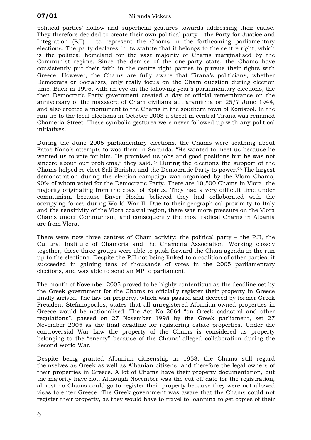political parties' hollow and superficial gestures towards addressing their cause. They therefore decided to create their own political party – the Party for Justice and Integration (PJI) – to represent the Chams in the forthcoming parliamentary elections. The party declares in its statute that it belongs to the centre right, which is the political homeland for the vast majority of Chams marginalised by the Communist regime. Since the demise of the one-party state, the Chams have consistently put their faith in the centre right parties to pursue their rights with Greece. However, the Chams are fully aware that Tirana's politicians, whether Democrats or Socialists, only really focus on the Cham question during election time. Back in 1995, with an eye on the following year's parliamentary elections, the then Democratic Party government created a day of official remembrance on the anniversary of the massacre of Cham civilians at Paramithia on 25/7 June 1944, and also erected a monument to the Chams in the southern town of Konispol. In the run up to the local elections in October 2003 a street in central Tirana was renamed Chameria Street. These symbolic gestures were never followed up with any political initiatives.

During the June 2005 parliamentary elections, the Chams were scathing about Fatos Nano's attempts to woo them in Saranda. "He wanted to meet us because he wanted us to vote for him. He promised us jobs and good positions but he was not sincere about our problems," they said.[25](#page-15-24) During the elections the support of the Chams helped re-elect Sali Berisha and the Democratic Party to power.[26](#page-15-25) The largest demonstration during the election campaign was organised by the Vlora Chams, 90% of whom voted for the Democratic Party. There are 10,500 Chams in Vlora, the majority originating from the coast of Epirus. They had a very difficult time under communism because Enver Hoxha believed they had collaborated with the occupying forces during World War II. Due to their geographical proximity to Italy and the sensitivity of the Vlora coastal region, there was more pressure on the Vlora Chams under Communism, and consequently the most radical Chams in Albania are from Vlora.

There were now three centres of Cham activity: the political party – the PJI, the Cultural Institute of Chameria and the Chameria Association. Working closely together, these three groups were able to push forward the Cham agenda in the run up to the elections. Despite the PJI not being linked to a coalition of other parties, it succeeded in gaining tens of thousands of votes in the 2005 parliamentary elections, and was able to send an MP to parliament.

The month of November 2005 proved to be highly contentious as the deadline set by the Greek government for the Chams to officially register their property in Greece finally arrived. The law on property, which was passed and decreed by former Greek President Stefanopoulos, states that all unregistered Albanian-owned properties in Greece would be nationalised. The Act No 2664 "on Greek cadastral and other regulations", passed on 27 November 1998 by the Greek parliament, set 27 November 2005 as the final deadline for registering estate properties. Under the controversial War Law the property of the Chams is considered as property belonging to the "enemy" because of the Chams' alleged collaboration during the Second World War.

Despite being granted Albanian citizenship in 1953, the Chams still regard themselves as Greek as well as Albanian citizens, and therefore the legal owners of their properties in Greece. A lot of Chams have their property documentation, but the majority have not. Although November was the cut off date for the registration, almost no Chams could go to register their property because they were not allowed visas to enter Greece. The Greek government was aware that the Chams could not register their property, as they would have to travel to Ioannina to get copies of their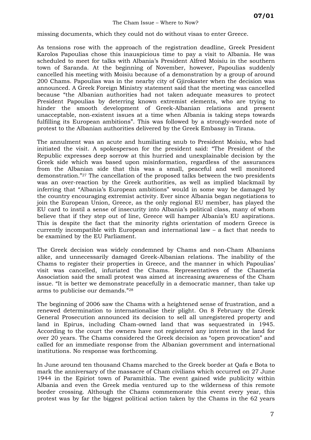missing documents, which they could not do without visas to enter Greece.

As tensions rose with the approach of the registration deadline, Greek President Karolos Papoulias chose this inauspicious time to pay a visit to Albania. He was scheduled to meet for talks with Albania's President Alfred Moisiu in the southern town of Saranda. At the beginning of November, however, Papoulias suddenly cancelled his meeting with Moisiu because of a demonstration by a group of around 200 Chams. Papoulias was in the nearby city of Gjirokaster when the decision was announced. A Greek Foreign Ministry statement said that the meeting was cancelled because "the Albanian authorities had not taken adequate measures to protect President Papoulias by deterring known extremist elements, who are trying to hinder the smooth development of Greek-Albanian relations and present unacceptable, non-existent issues at a time when Albania is taking steps towards fulfilling its European ambitions". This was followed by a strongly-worded note of protest to the Albanian authorities delivered by the Greek Embassy in Tirana.

The annulment was an acute and humiliating snub to President Moisiu, who had initiated the visit. A spokesperson for the president said: "The President of the Republic expresses deep sorrow at this hurried and unexplainable decision by the Greek side which was based upon misinformation, regardless of the assurances from the Albanian side that this was a small, peaceful and well monitored demonstration."[27](#page-15-26) The cancellation of the proposed talks between the two presidents was an over-reaction by the Greek authorities, as well as implied blackmail by inferring that "Albania's European ambitions" would in some way be damaged by the country encouraging extremist activity. Ever since Albania began negotiations to join the European Union, Greece, as the only regional EU member, has played the EU card to instil a sense of insecurity into Albania's political class, many of whom believe that if they step out of line, Greece will hamper Albania's EU aspirations. This is despite the fact that the minority rights orientation of modern Greece is currently incompatible with European and international law – a fact that needs to be examined by the EU Parliament.

The Greek decision was widely condemned by Chams and non-Cham Albanians alike, and unnecessarily damaged Greek-Albanian relations. The inability of the Chams to register their properties in Greece, and the manner in which Papoulias' visit was cancelled, infuriated the Chams. Representatives of the Chameria Association said the small protest was aimed at increasing awareness of the Cham issue. "It is better we demonstrate peacefully in a democratic manner, than take up arms to publicise our demands."[28](#page-15-27) 

The beginning of 2006 saw the Chams with a heightened sense of frustration, and a renewed determination to internationalise their plight. On 8 February the Greek General Prosecution announced its decision to sell all unregistered property and land in Epirus, including Cham-owned land that was sequestrated in 1945. According to the court the owners have not registered any interest in the land for over 20 years. The Chams considered the Greek decision as "open provocation" and called for an immediate response from the Albanian government and international institutions. No response was forthcoming.

In June around ten thousand Chams marched to the Greek border at Qafa e Bota to mark the anniversary of the massacre of Cham civilians which occurred on 27 June 1944 in the Epiriot town of Paramithia. The event gained wide publicity within Albania and even the Greek media ventured up to the wilderness of this remote border crossing. Although the Chams commemorate this event every year, this protest was by far the biggest political action taken by the Chams in the 62 years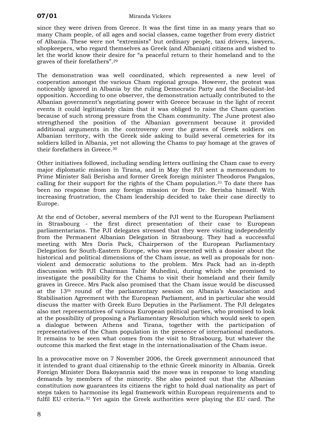since they were driven from Greece. It was the first time in as many years that so many Cham people, of all ages and social classes, came together from every district of Albania. These were not "extremists" but ordinary people, taxi drivers, lawyers, shopkeepers, who regard themselves as Greek (and Albanian) citizens and wished to let the world know their desire for "a peaceful return to their homeland and to the graves of their forefathers".[29](#page-15-28) 

The demonstration was well coordinated, which represented a new level of cooperation amongst the various Cham regional groups. However, the protest was noticeably ignored in Albania by the ruling Democratic Party and the Socialist-led opposition. According to one observer, the demonstration actually contributed to the Albanian government's negotiating power with Greece because in the light of recent events it could legitimately claim that it was obliged to raise the Cham question because of such strong pressure from the Cham community. The June protest also strengthened the position of the Albanian government because it provided additional arguments in the controversy over the graves of Greek soldiers on Albanian territory, with the Greek side asking to build several cemeteries for its soldiers killed in Albania, yet not allowing the Chams to pay homage at the graves of their forefathers in Greece.[30](#page-15-29) 

Other initiatives followed, including sending letters outlining the Cham case to every major diplomatic mission in Tirana, and in May the PJI sent a memorandum to Prime Minister Sali Berisha and former Greek foreign minister Theodoros Pangalos, calling for their support for the rights of the Cham population.<sup>31</sup> To date there has been no response from any foreign mission or from Dr. Berisha himself. With increasing frustration, the Cham leadership decided to take their case directly to Europe.

At the end of October, several members of the PJI went to the European Parliament in Strasbourg - the first direct presentation of their case to European parliamentarians. The PJI delegates stressed that they were visiting independently from the Permanent Albanian Delegation in Strasbourg. They had a successful meeting with Mrs Doris Pack, Chairperson of the European Parliamentary Delegation for South-Eastern Europe, who was presented with a dossier about the historical and political dimensions of the Cham issue, as well as proposals for nonviolent and democratic solutions to the problem. Mrs Pack had an in-depth discussion with PJI Chairman Tahir Muhedini, during which she promised to investigate the possibility for the Chams to visit their homeland and their family graves in Greece. Mrs Pack also promised that the Cham issue would be discussed at the 13th round of the parliamentary session on Albania's Association and Stabilisation Agreement with the European Parliament, and in particular she would discuss the matter with Greek Euro Deputies in the Parliament. The PJI delegates also met representatives of various European political parties, who promised to look at the possibility of proposing a Parliamentary Resolution which would seek to open a dialogue between Athens and Tirana, together with the participation of representatives of the Cham population in the presence of international mediators. It remains to be seen what comes from the visit to Strasbourg, but whatever the outcome this marked the first stage in the internationalisation of the Cham issue.

In a provocative move on 7 November 2006, the Greek government announced that it intended to grant dual citizenship to the ethnic Greek minority in Albania. Greek Foreign Minister Dora Bakoyannis said the move was in response to long standing demands by members of the minority. She also pointed out that the Albanian constitution now guarantees its citizens the right to hold dual nationality as part of steps taken to harmonise its legal framework within European requirements and to fulfil EU criteria.[32](#page-15-31) Yet again the Greek authorities were playing the EU card. The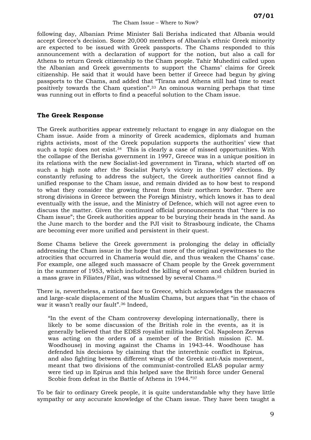following day, Albanian Prime Minister Sali Berisha indicated that Albania would accept Greece's decision. Some 20,000 members of Albania's ethnic Greek minority are expected to be issued with Greek passports. The Chams responded to this announcement with a declaration of support for the notion, but also a call for Athens to return Greek citizenship to the Cham people. Tahir Muhedini called upon the Albanian and Greek governments to support the Chams' claims for Greek citizenship. He said that it would have been better if Greece had begun by giving passports to the Chams, and added that "Tirana and Athens still had time to react positively towards the Cham question".[33](#page-15-32) An ominous warning perhaps that time was running out in efforts to find a peaceful solution to the Cham issue.

## **The Greek Response**

The Greek authorities appear extremely reluctant to engage in any dialogue on the Cham issue. Aside from a minority of Greek academics, diplomats and human rights activists, most of the Greek population supports the authorities' view that such a topic does not exist.<sup>34</sup> This is clearly a case of missed opportunities. With the collapse of the Berisha government in 1997, Greece was in a unique position in its relations with the new Socialist-led government in Tirana, which started off on such a high note after the Socialist Party's victory in the 1997 elections. By constantly refusing to address the subject, the Greek authorities cannot find a unified response to the Cham issue, and remain divided as to how best to respond to what they consider the growing threat from their northern border. There are strong divisions in Greece between the Foreign Ministry, which knows it has to deal eventually with the issue, and the Ministry of Defence, which will not agree even to discuss the matter. Given the continued official pronouncements that "there is no Cham issue"; the Greek authorities appear to be burying their heads in the sand. As the June march to the border and the PJI visit to Strasbourg indicate, the Chams are becoming ever more unified and persistent in their quest.

Some Chams believe the Greek government is prolonging the delay in officially addressing the Cham issue in the hope that more of the original eyewitnesses to the atrocities that occurred in Chameria would die, and thus weaken the Chams' case. For example, one alleged such massacre of Cham people by the Greek government in the summer of 1953, which included the killing of women and children buried in a mass grave in Filiates/Filat, was witnessed by several Chams.[35](#page-15-34) 

There is, nevertheless, a rational face to Greece, which acknowledges the massacres and large-scale displacement of the Muslim Chams, but argues that "in the chaos of war it wasn't really our fault".[36](#page-15-35) Indeed,

"In the event of the Cham controversy developing internationally, there is likely to be some discussion of the British role in the events, as it is generally believed that the EDES royalist militia leader Col. Napoleon Zervas was acting on the orders of a member of the British mission (C. M. Woodhouse) in moving against the Chams in 1943-44. Woodhouse has defended his decisions by claiming that the interethnic conflict in Epirus, and also fighting between different wings of the Greek anti-Axis movement, meant that two divisions of the communist-controlled ELAS popular army were tied up in Epirus and this helped save the British force under General Scobie from defeat in the Battle of Athens in 1944."[37](#page-15-36) 

To be fair to ordinary Greek people, it is quite understandable why they have little sympathy or any accurate knowledge of the Cham issue. They have been taught a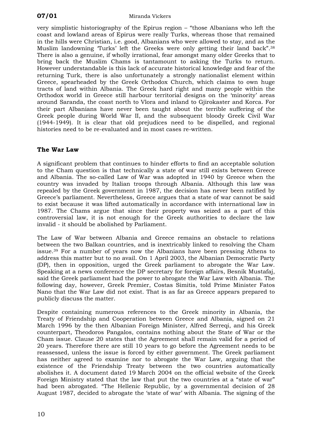very simplistic historiography of the Epirus region – "those Albanians who left the coast and lowland areas of Epirus were really Turks, whereas those that remained in the hills were Christian, i.e. good, Albanians who were allowed to stay, and as the Muslim landowning 'Turks' left the Greeks were only getting their land back".[38](#page-15-37) There is also a genuine, if wholly irrational, fear amongst many older Greeks that to bring back the Muslim Chams is tantamount to asking the Turks to return. However understandable is this lack of accurate historical knowledge and fear of the returning Turk, there is also unfortunately a strongly nationalist element within Greece, spearheaded by the Greek Orthodox Church, which claims to own huge tracts of land within Albania. The Greek hard right and many people within the Orthodox world in Greece still harbour territorial designs on the 'minority' areas around Saranda, the coast north to Vlora and inland to Gjirokaster and Korca. For their part Albanians have never been taught about the terrible suffering of the Greek people during World War II, and the subsequent bloody Greek Civil War (1944-1949). It is clear that old prejudices need to be dispelled, and regional histories need to be re-evaluated and in most cases re-written.

## **The War Law**

A significant problem that continues to hinder efforts to find an acceptable solution to the Cham question is that technically a state of war still exists between Greece and Albania. The so-called Law of War was adopted in 1940 by Greece when the country was invaded by Italian troops through Albania. Although this law was repealed by the Greek government in 1987, the decision has never been ratified by Greece's parliament. Nevertheless, Greece argues that a state of war cannot be said to exist because it was lifted automatically in accordance with international law in 1987. The Chams argue that since their property was seized as a part of this controversial law, it is not enough for the Greek authorities to declare the law invalid - it should be abolished by Parliament.

The Law of War between Albania and Greece remains an obstacle to relations between the two Balkan countries, and is inextricably linked to resolving the Cham issue.[39](#page-15-38) For a number of years now the Albanians have been pressing Athens to address this matter but to no avail. On 1 April 2003, the Albanian Democratic Party (DP), then in opposition, urged the Greek parliament to abrogate the War Law. Speaking at a news conference the DP secretary for foreign affairs, Besnik Mustafaj, said the Greek parliament had the power to abrogate the War Law with Albania. The following day, however, Greek Premier, Costas Simitis, told Prime Minister Fatos Nano that the War Law did not exist. That is as far as Greece appears prepared to publicly discuss the matter.

Despite containing numerous references to the Greek minority in Albania, the Treaty of Friendship and Cooperation between Greece and Albania, signed on 21 March 1996 by the then Albanian Foreign Minister, Alfred Serreqi, and his Greek counterpart, Theodoros Pangalos, contains nothing about the State of War or the Cham issue. Clause 20 states that the Agreement shall remain valid for a period of 20 years. Therefore there are still 10 years to go before the Agreement needs to be reassessed, unless the issue is forced by either government. The Greek parliament has neither agreed to examine nor to abrogate the War Law, arguing that the existence of the Friendship Treaty between the two countries automatically abolishes it. A document dated 19 March 2004 on the official website of the Greek Foreign Ministry stated that the law that put the two countries at a "state of war" had been abrogated. "The Hellenic Republic, by a governmental decision of 28 August 1987, decided to abrogate the 'state of war' with Albania. The signing of the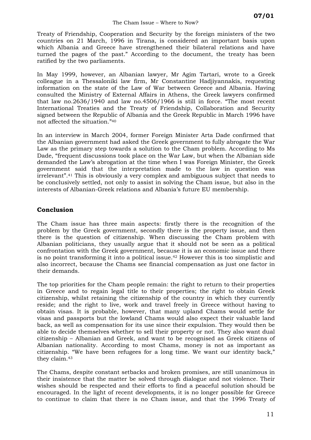Treaty of Friendship, Cooperation and Security by the foreign ministers of the two countries on 21 March, 1996 in Tirana, is considered an important basis upon which Albania and Greece have strengthened their bilateral relations and have turned the pages of the past." According to the document, the treaty has been ratified by the two parliaments.

In May 1999, however, an Albanian lawyer, Mr Agim Tartari, wrote to a Greek colleague in a Thessaloniki law firm, Mr Constantine Hadjiyannakis, requesting information on the state of the Law of War between Greece and Albania. Having consulted the Ministry of External Affairs in Athens, the Greek lawyers confirmed that law no.2636/1940 and law no.4506/1966 is still in force. "The most recent International Treaties and the Treaty of Friendship, Collaboration and Security signed between the Republic of Albania and the Greek Republic in March 1996 have not affected the situation."[40](#page-15-39) 

In an interview in March 2004, former Foreign Minister Arta Dade confirmed that the Albanian government had asked the Greek government to fully abrogate the War Law as the primary step towards a solution to the Cham problem. According to Ms Dade, "frequent discussions took place on the War Law, but when the Albanian side demanded the Law's abrogation at the time when I was Foreign Minister, the Greek government said that the interpretation made to the law in question was irrelevant".[41](#page-15-40) This is obviously a very complex and ambiguous subject that needs to be conclusively settled, not only to assist in solving the Cham issue, but also in the interests of Albanian-Greek relations and Albania's future EU membership.

## **Conclusion**

The Cham issue has three main aspects: firstly there is the recognition of the problem by the Greek government, secondly there is the property issue, and then there is the question of citizenship. When discussing the Cham problem with Albanian politicians, they usually argue that it should not be seen as a political confrontation with the Greek government, because it is an economic issue and there is no point transforming it into a political issue.<sup>42</sup> However this is too simplistic and also incorrect, because the Chams see financial compensation as just one factor in their demands.

The top priorities for the Cham people remain: the right to return to their properties in Greece and to regain legal title to their properties; the right to obtain Greek citizenship, whilst retaining the citizenship of the country in which they currently reside; and the right to live, work and travel freely in Greece without having to obtain visas. It is probable, however, that many upland Chams would settle for visas and passports but the lowland Chams would also expect their valuable land back, as well as compensation for its use since their expulsion. They would then be able to decide themselves whether to sell their property or not. They also want dual citizenship – Albanian and Greek, and want to be recognised as Greek citizens of Albanian nationality. According to most Chams, money is not as important as citizenship. "We have been refugees for a long time. We want our identity back," they claim.[43](#page-15-42) 

The Chams, despite constant setbacks and broken promises, are still unanimous in their insistence that the matter be solved through dialogue and not violence. Their wishes should be respected and their efforts to find a peaceful solution should be encouraged. In the light of recent developments, it is no longer possible for Greece to continue to claim that there is no Cham issue, and that the 1996 Treaty of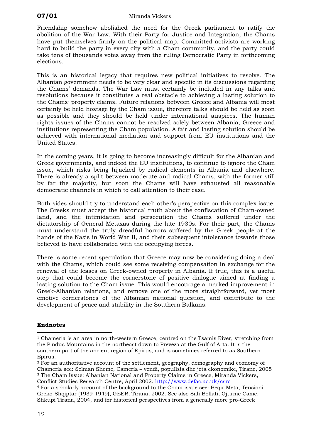<span id="page-15-38"></span>Friendship somehow abolished the need for the Greek parliament to ratify the abolition of the War Law. With their Party for Justice and Integration, the Chams have put themselves firmly on the political map. Committed activists are working hard to build the party in every city with a Cham community, and the party could take tens of thousands votes away from the ruling Democratic Party in forthcoming elections.

<span id="page-15-42"></span><span id="page-15-41"></span><span id="page-15-40"></span><span id="page-15-39"></span><span id="page-15-8"></span><span id="page-15-7"></span><span id="page-15-6"></span><span id="page-15-5"></span><span id="page-15-4"></span>This is an historical legacy that requires new political initiatives to resolve. The Albanian government needs to be very clear and specific in its discussions regarding the Chams' demands. The War Law must certainly be included in any talks and resolutions because it constitutes a real obstacle to achieving a lasting solution to the Chams' property claims. Future relations between Greece and Albania will most certainly be held hostage by the Cham issue, therefore talks should be held as soon as possible and they should be held under international auspices. The human rights issues of the Chams cannot be resolved solely between Albania, Greece and institutions representing the Cham population. A fair and lasting solution should be achieved with international mediation and support from EU institutions and the United States.

<span id="page-15-13"></span><span id="page-15-12"></span><span id="page-15-11"></span><span id="page-15-10"></span><span id="page-15-9"></span>In the coming years, it is going to become increasingly difficult for the Albanian and Greek governments, and indeed the EU institutions, to continue to ignore the Cham issue, which risks being hijacked by radical elements in Albania and elsewhere. There is already a split between moderate and radical Chams, with the former still by far the majority, but soon the Chams will have exhausted all reasonable democratic channels in which to call attention to their case.

<span id="page-15-20"></span><span id="page-15-19"></span><span id="page-15-18"></span><span id="page-15-17"></span><span id="page-15-16"></span><span id="page-15-15"></span><span id="page-15-14"></span>Both sides should try to understand each other's perspective on this complex issue. The Greeks must accept the historical truth about the confiscation of Cham-owned land, and the intimidation and persecution the Chams suffered under the dictatorship of General Metaxas during the late 1930s. For their part, the Chams must understand the truly dreadful horrors suffered by the Greek people at the hands of the Nazis in World War II, and their subsequent intolerance towards those believed to have collaborated with the occupying forces.

<span id="page-15-28"></span><span id="page-15-27"></span><span id="page-15-26"></span><span id="page-15-25"></span><span id="page-15-24"></span><span id="page-15-23"></span><span id="page-15-22"></span><span id="page-15-21"></span>There is some recent speculation that Greece may now be considering doing a deal with the Chams, which could see some receiving compensation in exchange for the renewal of the leases on Greek-owned property in Albania. If true, this is a useful step that could become the cornerstone of positive dialogue aimed at finding a lasting solution to the Cham issue. This would encourage a marked improvement in Greek-Albanian relations, and remove one of the more straightforward, yet most emotive cornerstones of the Albanian national question, and contribute to the development of peace and stability in the Southern Balkans.

## <span id="page-15-32"></span><span id="page-15-31"></span><span id="page-15-30"></span><span id="page-15-29"></span>**Endnotes**

<span id="page-15-33"></span> $\overline{a}$ 

<span id="page-15-0"></span> $1$  Chameria is an area in north-western Greece, centred on the Tsamis River, stretching from the Pindus Mountains in the northeast down to Preveza at the Gulf of Arta. It is the southern part of the ancient region of Epirus, and is sometimes referred to as Southern Epirus.

<span id="page-15-35"></span><span id="page-15-34"></span><span id="page-15-1"></span> $2 \overline{P}$  For an authoritative account of the settlement, geography, demography and economy of Chameria see: Selman Sheme, Cameria – vendi, popullsia dhe jeta ekonomike, Tirane, 2005 <sup>3</sup> The Cham Issue: Albanian National and Property Claims in Greece, Miranda Vickers,

<span id="page-15-37"></span><span id="page-15-36"></span><span id="page-15-3"></span><span id="page-15-2"></span>Conflict Studies Research Centre, April 2002. <u><http://www.defac.ac.uk/csrc></u><br><sup>4</sup> For a scholarly account of the background to the Cham issue see: Beqir Meta, Tensioni Greko-Shqiptar (1939-1949), GEER, Tirana, 2002. See also Sali Bollati, Gjurme Came, Shkupi Tirana, 2004, and for historical perspectives from a generally more pro-Greek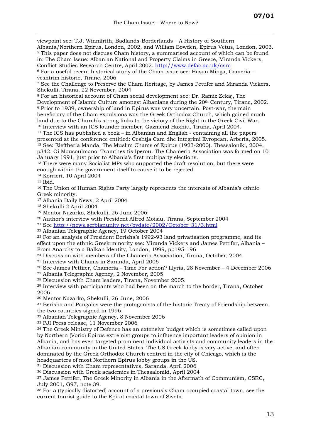$\overline{a}$ viewpoint see: T.J. Winnifrith, Badlands-Borderlands – A History of Southern Albania/Northern Epirus, London, 2002, and William Bowden, Epirus Vetus, London, 2003. <sup>5</sup> This paper does not discuss Cham history, a summarised account of which can be found in: The Cham Issue: Albanian National and Property Claims in Greece, Miranda Vickers, Conflict Studies Research Centre, April 2002. <http://www.defac.ac.uk/csrc> 6 For a useful recent historical study of the Cham issue see: Hasan Minga, Cameria –

veshtrim historic, Tirane, 2006<br>7 See the Challenge to Preserve the Cham Heritage, by James Pettifer and Miranda Vickers, Shekulli, Tirana, 22 November, 2004

8 For an historical account of Cham social development see: Dr. Ramiz Zekaj, The Development of Islamic Culture amongst Albanians during the 20th Century, Tirane, 2002. 9 Prior to 1939, ownership of land in Epirus was very uncertain. Post-war, the main beneficiary of the Cham expulsions was the Greek Orthodox Church, which gained much land due to the Church's strong links to the victory of the Right in the Greek Civil War.

<sup>10</sup> Interview with an ICS founder member, Gazmend Haxhiu, Tirana, April 2004.<br><sup>11</sup> The ICS has published a book – in Albanian and English - containing all the papers presented at the conference entitled: Ceshtja Cam dhe Integrimi Evropean, Arberia, 2005. 12 See: Eleftheria Manda, The Muslim Chams of Epirus (1923-2000). Thessaloniki, 2004, p342. Oi Mousoulmanoi Tsamthes tis Iperou. The Chameria Association was formed on 10 January 1991, just prior to Albania's first multiparty elections.

<sup>13</sup> There were many Socialist MPs who supported the draft resolution, but there were enough within the government itself to cause it to be rejected. 14 Korrieri, 10 April 2004

<sup>15</sup> Ibid.<br><sup>16</sup> The Union of Human Rights Party largely represents the interests of Albania's ethnic Greek minority.

17 Albania Daily News, 2 April 2004

18 Shekulli 2 April 2004

19 Mentor Nazarko, Shekulli, 26 June 2006

20 Author's interview with President Alfred Moisiu, Tirana, September 2004

21 See [http://news.serbianunity.net/bydate/2002/October\\_31/3.html](http://news.serbianunity.net/bydate/2002/October_31/3.html)

22 Albanian Telegraphic Agency, 19 October 2004

23 For an analysis of President Berisha's 1992-93 land privatisation programme, and its effect upon the ethnic Greek minority see: Miranda Vickers and James Pettifer, Albania – From Anarchy to a Balkan Identity, London, 1999, pp195-196<br><sup>24</sup> Discussion with members of the Chameria Association, Tirana, October, 2004

<sup>25</sup> Interview with Chams in Saranda, April 2006<br><sup>26</sup> See James Pettifer, Chameria – Time For action? Illyria, 28 November – 4 December 2006 27 Albania Telegraphic Agency, 2 November, 2005

28 Discussion with Cham leaders, Tirana, November 2005.

29 Interview with participants who had been on the march to the border, Tirana, October 2006 30 Mentor Nazarko, Shekulli, 26 June, 2006

31 Berisha and Pangalos were the protagonists of the historic Treaty of Friendship between the two countries signed in 1996.<br><sup>32</sup> Albanian Telegraphic Agency, 8 November 2006

33 PJI Press release, 11 November 2006

<sup>34</sup> The Greek Ministry of Defence has an extensive budget which is sometimes called upon by Northern (Vorio) Epirus extremist groups to influence important leaders of opinion in Albania, and has even targeted prominent individual activists and community leaders in the Albanian community in the United States. The US Greek lobby is very active, and often dominated by the Greek Orthodox Church centred in the city of Chicago, which is the headquarters of most Northern Epirus lobby groups in the US.

35 Discussion with Cham representatives, Saranda, April 2006

36 Discussion with Greek academics in Thessaloniki, April 2004

37 James Pettifer, The Greek Minority in Albania in the Aftermath of Communism, CSRC, July 2001, G97, note 39.<br><sup>38</sup> For a (typically distorted) account of a previously Cham-occupied coastal town, see the

current tourist guide to the Epirot coastal town of Sivota.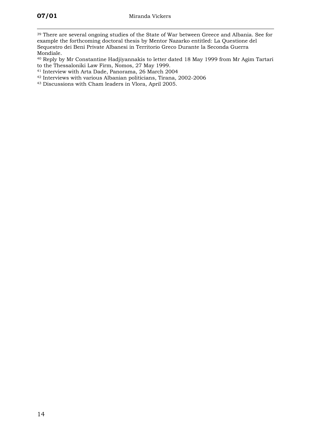$\overline{a}$ <sup>39</sup> There are several ongoing studies of the State of War between Greece and Albania. See for example the forthcoming doctoral thesis by Mentor Nazarko entitled: La Questione del Sequestro dei Beni Private Albanesi in Territorio Greco Durante la Seconda Guerra

Mondiale. 40 Reply by Mr Constantine Hadjiyannakis to letter dated 18 May 1999 from Mr Agim Tartari

- to the Thessaloniki Law Firm, Nomos, 27 May 1999. 41 Interview with Arta Dade, Panorama, 26 March 2004
- 42 Interviews with various Albanian politicians, Tirana, 2002-2006
- 43 Discussions with Cham leaders in Vlora, April 2005.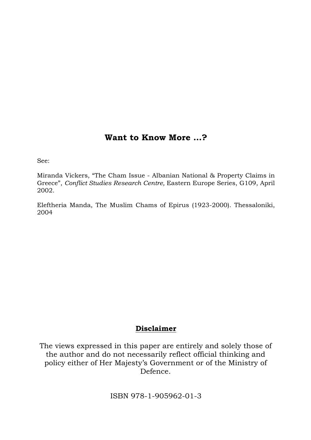## **Want to Know More …?**

See:

Miranda Vickers, "The Cham Issue - Albanian National & Property Claims in Greece", *Conflict Studies Research Centre,* Eastern Europe Series, G109, April 2002.

Eleftheria Manda, The Muslim Chams of Epirus (1923-2000). Thessaloniki, 2004

## **Disclaimer**

The views expressed in this paper are entirely and solely those of the author and do not necessarily reflect official thinking and policy either of Her Majesty's Government or of the Ministry of Defence.

ISBN 978-1-905962-01-3